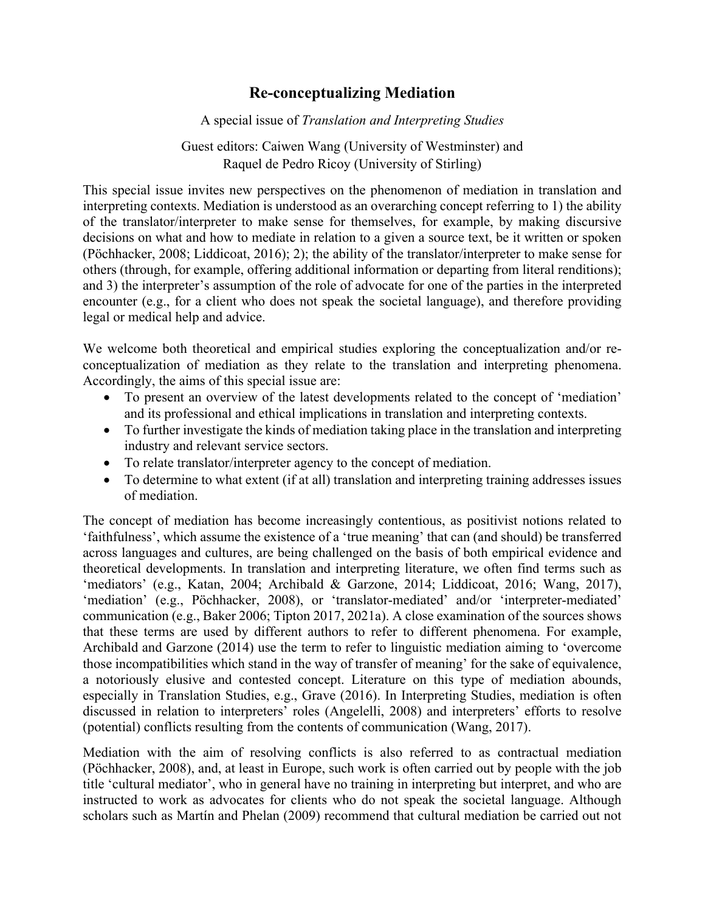## **Re-conceptualizing Mediation**

A special issue of *Translation and Interpreting Studies*

Guest editors: Caiwen Wang (University of Westminster) and Raquel de Pedro Ricoy (University of Stirling)

This special issue invites new perspectives on the phenomenon of mediation in translation and interpreting contexts. Mediation is understood as an overarching concept referring to 1) the ability of the translator/interpreter to make sense for themselves, for example, by making discursive decisions on what and how to mediate in relation to a given a source text, be it written or spoken (Pöchhacker, 2008; Liddicoat, 2016); 2); the ability of the translator/interpreter to make sense for others (through, for example, offering additional information or departing from literal renditions); and 3) the interpreter's assumption of the role of advocate for one of the parties in the interpreted encounter (e.g., for a client who does not speak the societal language), and therefore providing legal or medical help and advice.

We welcome both theoretical and empirical studies exploring the conceptualization and/or reconceptualization of mediation as they relate to the translation and interpreting phenomena. Accordingly, the aims of this special issue are:

- To present an overview of the latest developments related to the concept of 'mediation' and its professional and ethical implications in translation and interpreting contexts.
- To further investigate the kinds of mediation taking place in the translation and interpreting industry and relevant service sectors.
- To relate translator/interpreter agency to the concept of mediation.
- To determine to what extent (if at all) translation and interpreting training addresses issues of mediation.

The concept of mediation has become increasingly contentious, as positivist notions related to 'faithfulness', which assume the existence of a 'true meaning' that can (and should) be transferred across languages and cultures, are being challenged on the basis of both empirical evidence and theoretical developments. In translation and interpreting literature, we often find terms such as 'mediators' (e.g., Katan, 2004; Archibald & Garzone, 2014; Liddicoat, 2016; Wang, 2017), 'mediation' (e.g., Pöchhacker, 2008), or 'translator-mediated' and/or 'interpreter-mediated' communication (e.g., Baker 2006; Tipton 2017, 2021a). A close examination of the sources shows that these terms are used by different authors to refer to different phenomena. For example, Archibald and Garzone (2014) use the term to refer to linguistic mediation aiming to 'overcome those incompatibilities which stand in the way of transfer of meaning' for the sake of equivalence, a notoriously elusive and contested concept. Literature on this type of mediation abounds, especially in Translation Studies, e.g., Grave (2016). In Interpreting Studies, mediation is often discussed in relation to interpreters' roles (Angelelli, 2008) and interpreters' efforts to resolve (potential) conflicts resulting from the contents of communication (Wang, 2017).

Mediation with the aim of resolving conflicts is also referred to as contractual mediation (Pöchhacker, 2008), and, at least in Europe, such work is often carried out by people with the job title 'cultural mediator', who in general have no training in interpreting but interpret, and who are instructed to work as advocates for clients who do not speak the societal language. Although scholars such as Martín and Phelan (2009) recommend that cultural mediation be carried out not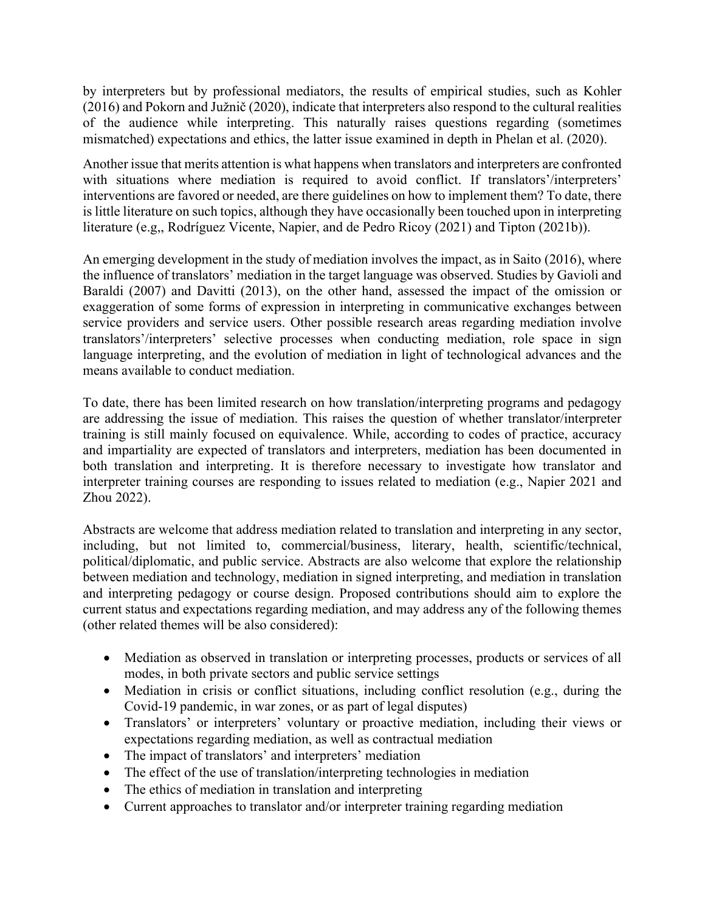by interpreters but by professional mediators, the results of empirical studies, such as Kohler (2016) and Pokorn and Južnič (2020), indicate that interpreters also respond to the cultural realities of the audience while interpreting. This naturally raises questions regarding (sometimes mismatched) expectations and ethics, the latter issue examined in depth in Phelan et al. (2020).

Another issue that merits attention is what happens when translators and interpreters are confronted with situations where mediation is required to avoid conflict. If translators'/interpreters' interventions are favored or needed, are there guidelines on how to implement them? To date, there is little literature on such topics, although they have occasionally been touched upon in interpreting literature (e.g,, Rodríguez Vicente, Napier, and de Pedro Ricoy (2021) and Tipton (2021b)).

An emerging development in the study of mediation involves the impact, as in Saito (2016), where the influence of translators' mediation in the target language was observed. Studies by Gavioli and Baraldi (2007) and Davitti (2013), on the other hand, assessed the impact of the omission or exaggeration of some forms of expression in interpreting in communicative exchanges between service providers and service users. Other possible research areas regarding mediation involve translators'/interpreters' selective processes when conducting mediation, role space in sign language interpreting, and the evolution of mediation in light of technological advances and the means available to conduct mediation.

To date, there has been limited research on how translation/interpreting programs and pedagogy are addressing the issue of mediation. This raises the question of whether translator/interpreter training is still mainly focused on equivalence. While, according to codes of practice, accuracy and impartiality are expected of translators and interpreters, mediation has been documented in both translation and interpreting. It is therefore necessary to investigate how translator and interpreter training courses are responding to issues related to mediation (e.g., Napier 2021 and Zhou 2022).

Abstracts are welcome that address mediation related to translation and interpreting in any sector, including, but not limited to, commercial/business, literary, health, scientific/technical, political/diplomatic, and public service. Abstracts are also welcome that explore the relationship between mediation and technology, mediation in signed interpreting, and mediation in translation and interpreting pedagogy or course design. Proposed contributions should aim to explore the current status and expectations regarding mediation, and may address any of the following themes (other related themes will be also considered):

- Mediation as observed in translation or interpreting processes, products or services of all modes, in both private sectors and public service settings
- Mediation in crisis or conflict situations, including conflict resolution (e.g., during the Covid-19 pandemic, in war zones, or as part of legal disputes)
- Translators' or interpreters' voluntary or proactive mediation, including their views or expectations regarding mediation, as well as contractual mediation
- The impact of translators' and interpreters' mediation
- The effect of the use of translation/interpreting technologies in mediation
- The ethics of mediation in translation and interpreting
- Current approaches to translator and/or interpreter training regarding mediation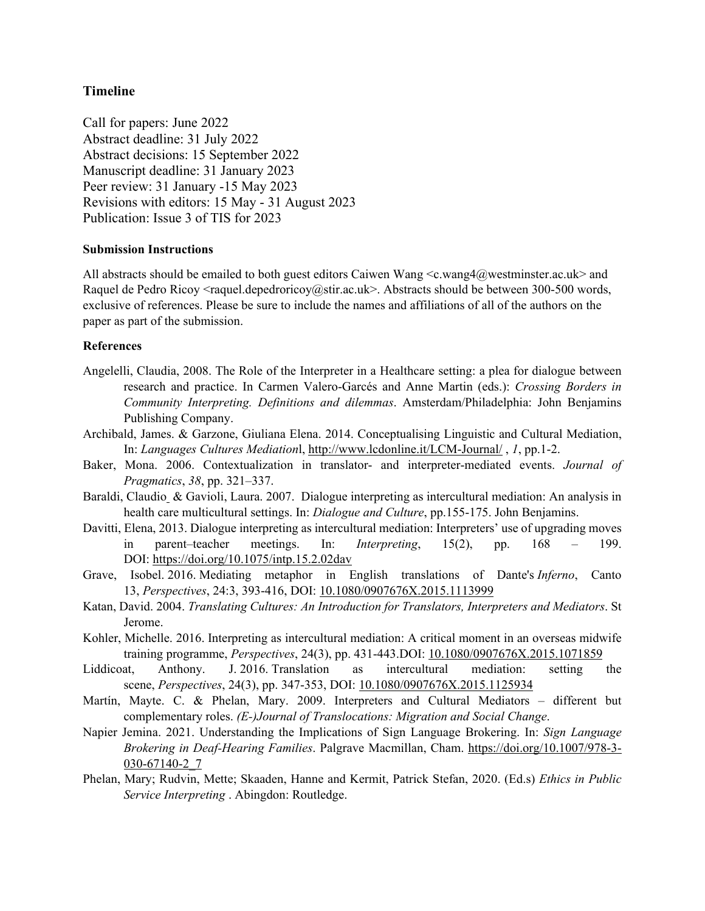## **Timeline**

Call for papers: June 2022 Abstract deadline: 31 July 2022 Abstract decisions: 15 September 2022 Manuscript deadline: 31 January 2023 Peer review: 31 January -15 May 2023 Revisions with editors: 15 May - 31 August 2023 Publication: Issue 3 of TIS for 2023

## **Submission Instructions**

All abstracts should be emailed to both guest editors Caiwen Wang  $\langle c$ .wang4@westminster.ac.uk> and Raquel de Pedro Ricoy <raquel.depedroricoy@stir.ac.uk>. Abstracts should be between 300-500 words, exclusive of references. Please be sure to include the names and affiliations of all of the authors on the paper as part of the submission.

## **References**

- Angelelli, Claudia, 2008. The Role of the Interpreter in a Healthcare setting: a plea for dialogue between research and practice. In Carmen Valero-Garcés and Anne Martin (eds.): *Crossing Borders in Community Interpreting. Definitions and dilemmas*. Amsterdam/Philadelphia: John Benjamins Publishing Company.
- Archibald, James. & Garzone, Giuliana Elena. 2014. Conceptualising Linguistic and Cultural Mediation, In: *Languages Cultures Mediation*l,<http://www.lcdonline.it/LCM-Journal/> , *1*, pp.1-2.
- Baker, Mona. 2006. Contextualization in translator- and interpreter-mediated events. *Journal of Pragmatics*, *38*, pp. 321–337.
- Baraldi, [Claudio](https://www.researchgate.net/profile/Claudio-Baraldi) & Gavioli, [Laura.](https://www.researchgate.net/profile/Laura-Gavioli-2) 2007. Dialogue interpreting as intercultural mediation: An analysis in health care multicultural settings. In: *Dialogue and Culture*, pp.155-175. John Benjamins.
- Davitti, Elena, 2013. Dialogue interpreting as intercultural mediation: Interpreters' use of upgrading moves in parent–teacher meetings. In: *Interpreting*, 15(2), pp. 168 – 199. DOI: <https://doi.org/10.1075/intp.15.2.02dav>
- Grave, Isobel. 2016. Mediating metaphor in English translations of Dante's *Inferno*, Canto 13, *Perspectives*, 24:3, 393-416, DOI: [10.1080/0907676X.2015.1113999](https://doi.org/10.1080/0907676X.2015.1113999)
- Katan, David. 2004. *Translating Cultures: An Introduction for Translators, Interpreters and Mediators*. St Jerome.
- Kohler, Michelle. 2016. Interpreting as intercultural mediation: A critical moment in an overseas midwife training programme, *Perspectives*, 24(3), pp. 431-443.DOI: [10.1080/0907676X.2015.1071859](https://doi.org/10.1080/0907676X.2015.1071859)
- Liddicoat, Anthony. J. 2016. Translation as intercultural mediation: setting the scene, *Perspectives*, 24(3), pp. 347-353, DOI: [10.1080/0907676X.2015.1125934](https://doi.org/10.1080/0907676X.2015.1125934)
- Martín, Mayte. C. & Phelan, Mary. 2009. Interpreters and Cultural Mediators different but complementary roles. *(E-)Journal of Translocations: Migration and Social Change*.
- Napier Jemina. 2021. Understanding the Implications of Sign Language Brokering. In: *Sign Language Brokering in Deaf-Hearing Families*. Palgrave Macmillan, Cham. [https://doi.org/10.1007/978-3-](https://doi.org/10.1007/978-3-030-67140-2_7) [030-67140-2\\_7](https://doi.org/10.1007/978-3-030-67140-2_7)
- Phelan, Mary; Rudvin, Mette; Skaaden, Hanne and Kermit, Patrick Stefan, 2020. (Ed.s) *Ethics in Public Service Interpreting* . Abingdon: Routledge.